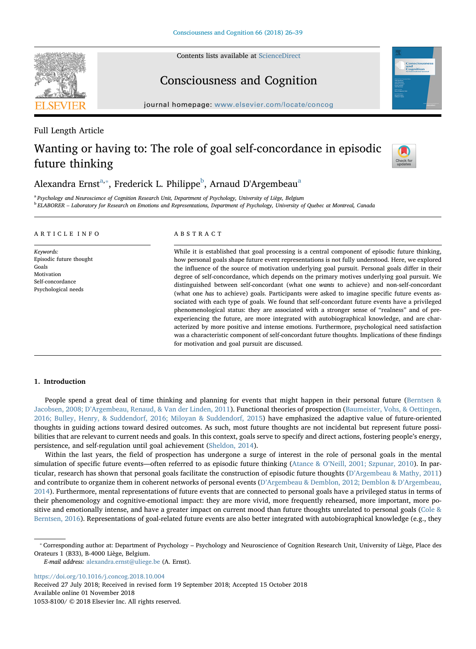Contents lists available at [ScienceDirect](http://www.sciencedirect.com/science/journal/10538100)

# Consciousness and Cognition

journal homepage: [www.elsevier.com/locate/concog](https://www.elsevier.com/locate/concog)

## Full Length Article

## Wanting or having to: The role of goal self-concordance in episodic future thinking



Consciou<br>and<br>Cognitio

## Alex[a](#page-0-0)ndra Ernst<sup>a,\*</sup>, Frederick L. Philippe<sup>b</sup>, Arnaud D'Argembeau<sup>a</sup>

<span id="page-0-2"></span><span id="page-0-0"></span><sup>a</sup> Psychology and Neuroscience of Cognition Research Unit, Department of Psychology, University of Liège, Belgium <sup>b</sup> ELABORER - Laboratory for Research on Emotions and Representations, Department of Psychology, University of Quebec at Montreal, Canada

## ARTICLE INFO

Keywords: Episodic future thought Goals Motivation Self-concordance Psychological needs

## ABSTRACT

While it is established that goal processing is a central component of episodic future thinking, how personal goals shape future event representations is not fully understood. Here, we explored the influence of the source of motivation underlying goal pursuit. Personal goals differ in their degree of self-concordance, which depends on the primary motives underlying goal pursuit. We distinguished between self-concordant (what one wants to achieve) and non-self-concordant (what one has to achieve) goals. Participants were asked to imagine specific future events associated with each type of goals. We found that self-concordant future events have a privileged phenomenological status: they are associated with a stronger sense of "realness" and of preexperiencing the future, are more integrated with autobiographical knowledge, and are characterized by more positive and intense emotions. Furthermore, psychological need satisfaction was a characteristic component of self-concordant future thoughts. Implications of these findings for motivation and goal pursuit are discussed.

## 1. Introduction

People spend a great deal of time thinking and planning for events that might happen in their personal future ([Berntsen &](#page-12-0) Jacobsen, 2008; D'[Argembeau, Renaud, & Van der Linden, 2011\)](#page-12-0). Functional theories of prospection [\(Baumeister, Vohs, & Oettingen,](#page-11-0) [2016; Bulley, Henry, & Suddendorf, 2016; Miloyan & Suddendorf, 2015\)](#page-11-0) have emphasized the adaptive value of future-oriented thoughts in guiding actions toward desired outcomes. As such, most future thoughts are not incidental but represent future possibilities that are relevant to current needs and goals. In this context, goals serve to specify and direct actions, fostering people's energy, persistence, and self-regulation until goal achievement [\(Sheldon, 2014](#page-13-0)).

Within the last years, the field of prospection has undergone a surge of interest in the role of personal goals in the mental simulation of specific future events—often referred to as episodic future thinking (Atance & O'[Neill, 2001; Szpunar, 2010](#page-11-1)). In particular, research has shown that personal goals facilitate the construction of episodic future thoughts (D'[Argembeau & Mathy, 2011](#page-12-1)) and contribute to organize them in coherent networks of personal events (D'[Argembeau & Demblon, 2012; Demblon & D](#page-12-2)'Argembeau, [2014\)](#page-12-2). Furthermore, mental representations of future events that are connected to personal goals have a privileged status in terms of their phenomenology and cognitive-emotional impact: they are more vivid, more frequently rehearsed, more important, more po-sitive and emotionally intense, and have a greater impact on current mood than future thoughts unrelated to personal goals ([Cole &](#page-12-3) [Berntsen, 2016](#page-12-3)). Representations of goal-related future events are also better integrated with autobiographical knowledge (e.g., they

<https://doi.org/10.1016/j.concog.2018.10.004>

Received 27 July 2018; Received in revised form 19 September 2018; Accepted 15 October 2018 Available online 01 November 2018 1053-8100/ © 2018 Elsevier Inc. All rights reserved.



<span id="page-0-1"></span><sup>⁎</sup> Corresponding author at: Department of Psychology – Psychology and Neuroscience of Cognition Research Unit, University of Liège, Place des Orateurs 1 (B33), B-4000 Liège, Belgium.

E-mail address: [alexandra.ernst@uliege.be](mailto:alexandra.ernst@uliege.be) (A. Ernst).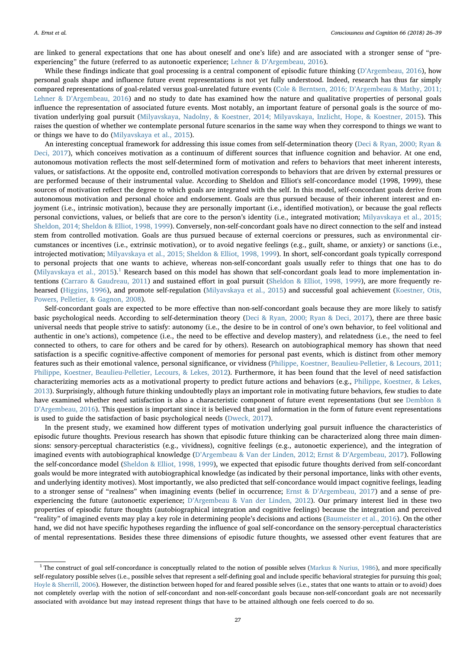are linked to general expectations that one has about oneself and one's life) and are associated with a stronger sense of "preexperiencing" the future (referred to as autonoetic experience; Lehner & D'[Argembeau, 2016](#page-13-1)).

While these findings indicate that goal processing is a central component of episodic future thinking (D'[Argembeau, 2016](#page-12-4)), how personal goals shape and influence future event representations is not yet fully understood. Indeed, research has thus far simply compared representations of goal-related versus goal-unrelated future events (Cole & Berntsen, 2016; D'[Argembeau & Mathy, 2011;](#page-12-3) Lehner & D'[Argembeau, 2016](#page-12-3)) and no study to date has examined how the nature and qualitative properties of personal goals influence the representation of associated future events. Most notably, an important feature of personal goals is the source of motivation underlying goal pursuit [\(Milyavskaya, Nadolny, & Koestner, 2014; Milyavskaya, Inzlicht, Hope, & Koestner, 2015\)](#page-13-2). This raises the question of whether we contemplate personal future scenarios in the same way when they correspond to things we want to or things we have to do ([Milyavskaya et al., 2015](#page-13-3)).

An interesting conceptual framework for addressing this issue comes from self-determination theory [\(Deci & Ryan, 2000; Ryan &](#page-12-5) [Deci, 2017\)](#page-12-5), which conceives motivation as a continuum of different sources that influence cognition and behavior. At one end, autonomous motivation reflects the most self-determined form of motivation and refers to behaviors that meet inherent interests, values, or satisfactions. At the opposite end, controlled motivation corresponds to behaviors that are driven by external pressures or are performed because of their instrumental value. According to Sheldon and Elliot's self-concordance model (1998, 1999), these sources of motivation reflect the degree to which goals are integrated with the self. In this model, self-concordant goals derive from autonomous motivation and personal choice and endorsement. Goals are thus pursued because of their inherent interest and enjoyment (i.e., intrinsic motivation), because they are personally important (i.e., identified motivation), or because the goal reflects personal convictions, values, or beliefs that are core to the person's identity (i.e., integrated motivation; [Milyavskaya et al., 2015;](#page-13-3) [Sheldon, 2014; Sheldon & Elliot, 1998, 1999](#page-13-3)). Conversely, non-self-concordant goals have no direct connection to the self and instead stem from controlled motivation. Goals are thus pursued because of external coercions or pressures, such as environmental circumstances or incentives (i.e., extrinsic motivation), or to avoid negative feelings (e.g., guilt, shame, or anxiety) or sanctions (i.e., introjected motivation; [Milyavskaya et al., 2015; Sheldon & Elliot, 1998, 1999\)](#page-13-3). In short, self-concordant goals typically correspond to personal projects that one wants to achieve, whereas non-self-concordant goals usually refer to things that one has to do (Milyavskaya et al.,  $2015$  $2015$  $2015$ ).<sup>1</sup> Research based on this model has shown that self-concordant goals lead to more implementation intentions [\(Carraro & Gaudreau, 2011\)](#page-12-6) and sustained effort in goal pursuit ([Sheldon & Elliot, 1998, 1999](#page-13-4)), are more frequently rehearsed [\(Higgins, 1996](#page-12-7)), and promote self-regulation ([Milyavskaya et al., 2015](#page-13-3)) and successful goal achievement ([Koestner, Otis,](#page-13-5) [Powers, Pelletier, & Gagnon, 2008\)](#page-13-5).

Self-concordant goals are expected to be more effective than non-self-concordant goals because they are more likely to satisfy basic psychological needs. According to self-determination theory [\(Deci & Ryan, 2000; Ryan & Deci, 2017\)](#page-12-5), there are three basic universal needs that people strive to satisfy: autonomy (i.e., the desire to be in control of one's own behavior, to feel volitional and authentic in one's actions), competence (i.e., the need to be effective and develop mastery), and relatedness (i.e., the need to feel connected to others, to care for others and be cared for by others). Research on autobiographical memory has shown that need satisfaction is a specific cognitive-affective component of memories for personal past events, which is distinct from other memory features such as their emotional valence, personal significance, or vividness [\(Philippe, Koestner, Beaulieu-Pelletier, & Lecours, 2011;](#page-13-6) [Philippe, Koestner, Beaulieu-Pelletier, Lecours, & Lekes, 2012\)](#page-13-6). Furthermore, it has been found that the level of need satisfaction characterizing memories acts as a motivational property to predict future actions and behaviors (e.g., [Philippe, Koestner, & Lekes,](#page-13-7) [2013\)](#page-13-7). Surprisingly, although future thinking undoubtedly plays an important role in motivating future behaviors, few studies to date have examined whether need satisfaction is also a characteristic component of future event representations (but see [Demblon &](#page-12-8) D'[Argembeau, 2016](#page-12-8)). This question is important since it is believed that goal information in the form of future event representations is used to guide the satisfaction of basic psychological needs ([Dweck, 2017\)](#page-12-9).

In the present study, we examined how different types of motivation underlying goal pursuit influence the characteristics of episodic future thoughts. Previous research has shown that episodic future thinking can be characterized along three main dimensions: sensory-perceptual characteristics (e.g., vividness), cognitive feelings (e.g., autonoetic experience), and the integration of imagined events with autobiographical knowledge (D'[Argembeau & Van der Linden, 2012; Ernst & D](#page-12-10)'Argembeau, 2017). Following the self-concordance model [\(Sheldon & Elliot, 1998, 1999](#page-13-4)), we expected that episodic future thoughts derived from self-concordant goals would be more integrated with autobiographical knowledge (as indicated by their personal importance, links with other events, and underlying identity motives). Most importantly, we also predicted that self-concordance would impact cognitive feelings, leading to a stronger sense of "realness" when imagining events (belief in occurrence; Ernst & D'[Argembeau, 2017\)](#page-12-11) and a sense of preexperiencing the future (autonoetic experience; D'[Argembeau & Van der Linden, 2012](#page-12-10)). Our primary interest lied in these two properties of episodic future thoughts (autobiographical integration and cognitive feelings) because the integration and perceived "reality" of imagined events may play a key role in determining people's decisions and actions ([Baumeister et al., 2016\)](#page-11-0). On the other hand, we did not have specific hypotheses regarding the influence of goal self-concordance on the sensory-perceptual characteristics of mental representations. Besides these three dimensions of episodic future thoughts, we assessed other event features that are

<span id="page-1-0"></span><sup>&</sup>lt;sup>1</sup> The construct of goal self-concordance is conceptually related to the notion of possible selves ([Markus & Nurius, 1986\)](#page-13-8), and more specifically self-regulatory possible selves (i.e., possible selves that represent a self-defining goal and include specific behavioral strategies for pursuing this goal; [Hoyle & Sherrill, 2006\)](#page-12-12). However, the distinction between hoped for and feared possible selves (i.e., states that one wants to attain or to avoid) does not completely overlap with the notion of self-concordant and non-self-concordant goals because non-self-concordant goals are not necessarily associated with avoidance but may instead represent things that have to be attained although one feels coerced to do so.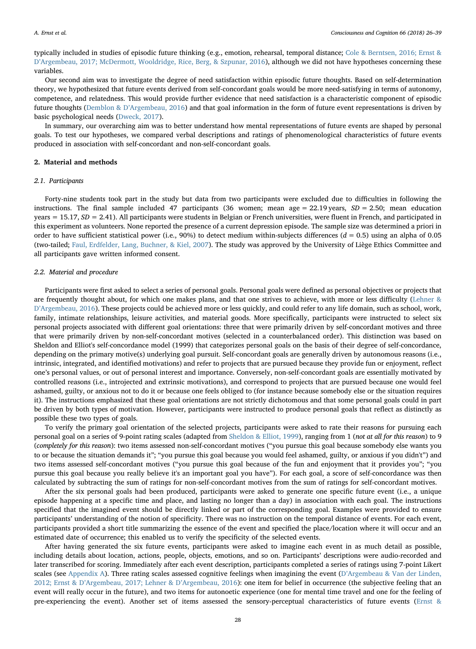typically included in studies of episodic future thinking (e.g., emotion, rehearsal, temporal distance; [Cole & Berntsen, 2016; Ernst &](#page-12-3) D'[Argembeau, 2017; McDermott, Wooldridge, Rice, Berg, & Szpunar, 2016\)](#page-12-3), although we did not have hypotheses concerning these variables.

Our second aim was to investigate the degree of need satisfaction within episodic future thoughts. Based on self-determination theory, we hypothesized that future events derived from self-concordant goals would be more need-satisfying in terms of autonomy, competence, and relatedness. This would provide further evidence that need satisfaction is a characteristic component of episodic future thoughts (Demblon & D'[Argembeau, 2016\)](#page-12-8) and that goal information in the form of future event representations is driven by basic psychological needs ([Dweck, 2017](#page-12-9)).

In summary, our overarching aim was to better understand how mental representations of future events are shaped by personal goals. To test our hypotheses, we compared verbal descriptions and ratings of phenomenological characteristics of future events produced in association with self-concordant and non-self-concordant goals.

## 2. Material and methods

#### 2.1. Participants

Forty-nine students took part in the study but data from two participants were excluded due to difficulties in following the instructions. The final sample included 47 participants (36 women; mean age =  $22.19$  years,  $SD = 2.50$ ; mean education years  $= 15.17$ ,  $SD = 2.41$ ). All participants were students in Belgian or French universities, were fluent in French, and participated in this experiment as volunteers. None reported the presence of a current depression episode. The sample size was determined a priori in order to have sufficient statistical power (i.e., 90%) to detect medium within-subjects differences  $(d = 0.5)$  using an alpha of 0.05 (two-tailed; [Faul, Erdfelder, Lang, Buchner, & Kiel, 2007\)](#page-12-13). The study was approved by the University of Liège Ethics Committee and all participants gave written informed consent.

#### 2.2. Material and procedure

Participants were first asked to select a series of personal goals. Personal goals were defined as personal objectives or projects that are frequently thought about, for which one makes plans, and that one strives to achieve, with more or less difficulty [\(Lehner &](#page-13-1) D'[Argembeau, 2016\)](#page-13-1). These projects could be achieved more or less quickly, and could refer to any life domain, such as school, work, family, intimate relationships, leisure activities, and material goods. More specifically, participants were instructed to select six personal projects associated with different goal orientations: three that were primarily driven by self-concordant motives and three that were primarily driven by non-self-concordant motives (selected in a counterbalanced order). This distinction was based on Sheldon and Elliot's self-concordance model (1999) that categorizes personal goals on the basis of their degree of self-concordance, depending on the primary motive(s) underlying goal pursuit. Self-concordant goals are generally driven by autonomous reasons (i.e., intrinsic, integrated, and identified motivations) and refer to projects that are pursued because they provide fun or enjoyment, reflect one's personal values, or out of personal interest and importance. Conversely, non-self-concordant goals are essentially motivated by controlled reasons (i.e., introjected and extrinsic motivations), and correspond to projects that are pursued because one would feel ashamed, guilty, or anxious not to do it or because one feels obliged to (for instance because somebody else or the situation requires it). The instructions emphasized that these goal orientations are not strictly dichotomous and that some personal goals could in part be driven by both types of motivation. However, participants were instructed to produce personal goals that reflect as distinctly as possible these two types of goals.

To verify the primary goal orientation of the selected projects, participants were asked to rate their reasons for pursuing each personal goal on a series of 9-point rating scales (adapted from [Sheldon & Elliot, 1999\)](#page-13-9), ranging from 1 (not at all for this reason) to 9 (completely for this reason): two items assessed non-self-concordant motives ("you pursue this goal because somebody else wants you to or because the situation demands it"; "you pursue this goal because you would feel ashamed, guilty, or anxious if you didn't") and two items assessed self-concordant motives ("you pursue this goal because of the fun and enjoyment that it provides you"; "you pursue this goal because you really believe it's an important goal you have"). For each goal, a score of self-concordance was then calculated by subtracting the sum of ratings for non-self-concordant motives from the sum of ratings for self-concordant motives.

After the six personal goals had been produced, participants were asked to generate one specific future event (i.e., a unique episode happening at a specific time and place, and lasting no longer than a day) in association with each goal. The instructions specified that the imagined event should be directly linked or part of the corresponding goal. Examples were provided to ensure participants' understanding of the notion of specificity. There was no instruction on the temporal distance of events. For each event, participants provided a short title summarizing the essence of the event and specified the place/location where it will occur and an estimated date of occurrence; this enabled us to verify the specificity of the selected events.

After having generated the six future events, participants were asked to imagine each event in as much detail as possible, including details about location, actions, people, objects, emotions, and so on. Participants' descriptions were audio-recorded and later transcribed for scoring. Immediately after each event description, participants completed a series of ratings using 7-point Likert scales (see [Appendix A\)](#page-9-0). Three rating scales assessed cognitive feelings when imagining the event (D'[Argembeau & Van der Linden,](#page-12-10) 2012; Ernst & D'[Argembeau, 2017; Lehner & D](#page-12-10)'Argembeau, 2016): one item for belief in occurrence (the subjective feeling that an event will really occur in the future), and two items for autonoetic experience (one for mental time travel and one for the feeling of pre-experiencing the event). Another set of items assessed the sensory-perceptual characteristics of future events ([Ernst &](#page-12-11)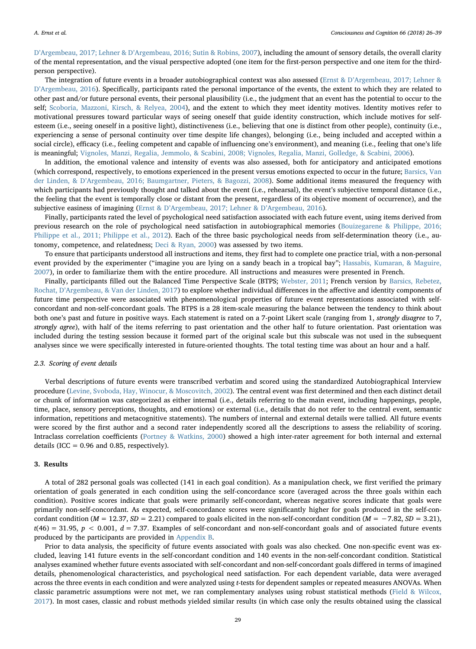D'Argembeau, 2017; Lehner & D'[Argembeau, 2016; Sutin & Robins, 2007\)](#page-12-11), including the amount of sensory details, the overall clarity of the mental representation, and the visual perspective adopted (one item for the first-person perspective and one item for the thirdperson perspective).

The integration of future events in a broader autobiographical context was also assessed (Ernst & D'[Argembeau, 2017; Lehner &](#page-12-11) D'[Argembeau, 2016\)](#page-12-11). Specifically, participants rated the personal importance of the events, the extent to which they are related to other past and/or future personal events, their personal plausibility (i.e., the judgment that an event has the potential to occur to the self; [Scoboria, Mazzoni, Kirsch, & Relyea, 2004](#page-13-10)), and the extent to which they meet identity motives. Identity motives refer to motivational pressures toward particular ways of seeing oneself that guide identity construction, which include motives for selfesteem (i.e., seeing oneself in a positive light), distinctiveness (i.e., believing that one is distinct from other people), continuity (i.e., experiencing a sense of personal continuity over time despite life changes), belonging (i.e., being included and accepted within a social circle), efficacy (i.e., feeling competent and capable of influencing one's environment), and meaning (i.e., feeling that one's life is meaningful; [Vignoles, Manzi, Regalia, Jemmolo, & Scabini, 2008; Vignoles, Regalia, Manzi, Golledge, & Scabini, 2006\)](#page-13-11).

In addition, the emotional valence and intensity of events was also assessed, both for anticipatory and anticipated emotions (which correspond, respectively, to emotions experienced in the present versus emotions expected to occur in the future; [Barsics, Van](#page-11-2) der Linden, & D'[Argembeau, 2016; Baumgartner, Pieters, & Bagozzi, 2008\)](#page-11-2). Some additional items measured the frequency with which participants had previously thought and talked about the event (i.e., rehearsal), the event's subjective temporal distance (i.e., the feeling that the event is temporally close or distant from the present, regardless of its objective moment of occurrence), and the subjective easiness of imagining (Ernst & D'[Argembeau, 2017; Lehner & D](#page-12-11)'Argembeau, 2016).

Finally, participants rated the level of psychological need satisfaction associated with each future event, using items derived from previous research on the role of psychological need satisfaction in autobiographical memories [\(Bouizegarene & Philippe, 2016;](#page-12-14) [Philippe et al., 2011; Philippe et al., 2012](#page-12-14)). Each of the three basic psychological needs from self-determination theory (i.e., autonomy, competence, and relatedness; [Deci & Ryan, 2000\)](#page-12-5) was assessed by two items.

To ensure that participants understood all instructions and items, they first had to complete one practice trial, with a non-personal event provided by the experimenter ("imagine you are lying on a sandy beach in a tropical bay"; [Hassabis, Kumaran, & Maguire,](#page-12-15) [2007\)](#page-12-15), in order to familiarize them with the entire procedure. All instructions and measures were presented in French.

Finally, participants filled out the Balanced Time Perspective Scale (BTPS; [Webster, 2011](#page-13-12); French version by [Barsics, Rebetez,](#page-11-3) Rochat, D'[Argembeau, & Van der Linden, 2017](#page-11-3)) to explore whether individual differences in the affective and identity components of future time perspective were associated with phenomenological properties of future event representations associated with selfconcordant and non-self-concordant goals. The BTPS is a 28 item-scale measuring the balance between the tendency to think about both one's past and future in positive ways. Each statement is rated on a 7-point Likert scale (ranging from 1, strongly disagree to 7, strongly agree), with half of the items referring to past orientation and the other half to future orientation. Past orientation was included during the testing session because it formed part of the original scale but this subscale was not used in the subsequent analyses since we were specifically interested in future-oriented thoughts. The total testing time was about an hour and a half.

## 2.3. Scoring of event details

Verbal descriptions of future events were transcribed verbatim and scored using the standardized Autobiographical Interview procedure [\(Levine, Svoboda, Hay, Winocur, & Moscovitch, 2002](#page-13-13)). The central event was first determined and then each distinct detail or chunk of information was categorized as either internal (i.e., details referring to the main event, including happenings, people, time, place, sensory perceptions, thoughts, and emotions) or external (i.e., details that do not refer to the central event, semantic information, repetitions and metacognitive statements). The numbers of internal and external details were tallied. All future events were scored by the first author and a second rater independently scored all the descriptions to assess the reliability of scoring. Intraclass correlation coefficients ([Portney & Watkins, 2000](#page-13-14)) showed a high inter-rater agreement for both internal and external details (ICC =  $0.96$  and 0.85, respectively).

#### 3. Results

A total of 282 personal goals was collected (141 in each goal condition). As a manipulation check, we first verified the primary orientation of goals generated in each condition using the self-concordance score (averaged across the three goals within each condition). Positive scores indicate that goals were primarily self-concordant, whereas negative scores indicate that goals were primarily non-self-concordant. As expected, self-concordance scores were significantly higher for goals produced in the self-concordant condition ( $M = 12.37$ ,  $SD = 2.21$ ) compared to goals elicited in the non-self-concordant condition ( $M = -7.82$ ,  $SD = 3.21$ ),  $t(46) = 31.95$ ,  $p < 0.001$ ,  $d = 7.37$ . Examples of self-concordant and non-self-concordant goals and of associated future events produced by the participants are provided in [Appendix B.](#page-11-4)

Prior to data analysis, the specificity of future events associated with goals was also checked. One non-specific event was excluded, leaving 141 future events in the self-concordant condition and 140 events in the non-self-concordant condition. Statistical analyses examined whether future events associated with self-concordant and non-self-concordant goals differed in terms of imagined details, phenomenological characteristics, and psychological need satisfaction. For each dependent variable, data were averaged across the three events in each condition and were analyzed using t-tests for dependent samples or repeated measures ANOVAs. When classic parametric assumptions were not met, we ran complementary analyses using robust statistical methods ([Field & Wilcox,](#page-12-16) [2017\)](#page-12-16). In most cases, classic and robust methods yielded similar results (in which case only the results obtained using the classical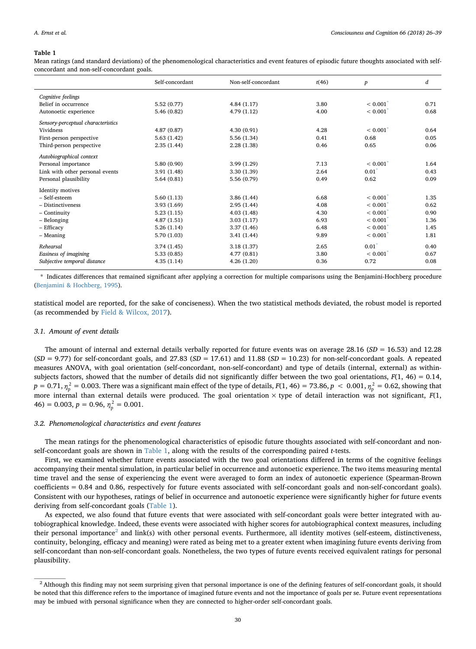#### <span id="page-4-0"></span>Table 1

Mean ratings (and standard deviations) of the phenomenological characteristics and event features of episodic future thoughts associated with selfconcordant and non-self-concordant goals.

|                                    | Self-concordant | Non-self-concordant | t(46) | $\boldsymbol{p}$       | d    |
|------------------------------------|-----------------|---------------------|-------|------------------------|------|
| Cognitive feelings                 |                 |                     |       |                        |      |
| Belief in occurrence               | 5.52(0.77)      | 4.84(1.17)          | 3.80  | $< 0.001$ <sup>*</sup> | 0.71 |
| Autonoetic experience              | 5.46 (0.82)     | 4.79 (1.12)         | 4.00  | < 0.001                | 0.68 |
| Sensory-perceptual characteristics |                 |                     |       |                        |      |
| Vividness                          | 4.87(0.87)      | 4.30(0.91)          | 4.28  | $< 0.001$ <sup>*</sup> | 0.64 |
| First-person perspective           | 5.63(1.42)      | 5.56 (1.34)         | 0.41  | 0.68                   | 0.05 |
| Third-person perspective           | 2.35(1.44)      | 2.28(1.38)          | 0.46  | 0.65                   | 0.06 |
| Autobiographical context           |                 |                     |       |                        |      |
| Personal importance                | 5.80(0.90)      | 3.99 (1.29)         | 7.13  | < 0.001                | 1.64 |
| Link with other personal events    | 3.91(1.48)      | 3.30 (1.39)         | 2.64  | $0.01$ <sup>*</sup>    | 0.43 |
| Personal plausibility              | 5.64(0.81)      | 5.56 (0.79)         | 0.49  | 0.62                   | 0.09 |
| <b>Identity</b> motives            |                 |                     |       |                        |      |
| - Self-esteem                      | 5.60(1.13)      | 3.86 (1.44)         | 6.68  | < 0.001                | 1.35 |
| - Distinctiveness                  | 3.93(1.69)      | 2.95 (1.44)         | 4.08  | < 0.001                | 0.62 |
| - Continuity                       | 5.23(1.15)      | 4.03(1.48)          | 4.30  | $< 0.001$ <sup>*</sup> | 0.90 |
| - Belonging                        | 4.87(1.51)      | 3.03(1.17)          | 6.93  | $< 0.001$ <sup>*</sup> | 1.36 |
| - Efficacy                         | 5.26(1.14)      | 3.37(1.46)          | 6.48  | $< 0.001$ <sup>*</sup> | 1.45 |
| - Meaning                          | 5.70(1.03)      | 3.41 (1.44)         | 9.89  | < 0.001                | 1.81 |
| Rehearsal                          | 3.74(1.45)      | 3.18 (1.37)         | 2.65  | $0.01*$                | 0.40 |
| Easiness of imagining              | 5.33(0.85)      | 4.77(0.81)          | 3.80  | < 0.001                | 0.67 |
| Subjective temporal distance       | 4.35(1.14)      | 4.26 (1.20)         | 0.36  | 0.72                   | 0.08 |

<span id="page-4-2"></span>\* Indicates differences that remained significant after applying a correction for multiple comparisons using the Benjamini-Hochberg procedure ([Benjamini & Hochberg, 1995\)](#page-12-17).

statistical model are reported, for the sake of conciseness). When the two statistical methods deviated, the robust model is reported (as recommended by [Field & Wilcox, 2017](#page-12-16)).

#### 3.1. Amount of event details

The amount of internal and external details verbally reported for future events was on average  $28.16$  ( $SD = 16.53$ ) and 12.28  $(SD = 9.77)$  for self-concordant goals, and 27.83  $(SD = 17.61)$  and 11.88  $(SD = 10.23)$  for non-self-concordant goals. A repeated measures ANOVA, with goal orientation (self-concordant, non-self-concordant) and type of details (internal, external) as withinsubjects factors, showed that the number of details did not significantly differ between the two goal orientations,  $F(1, 46) = 0.14$ ,  $p = 0.71$ ,  $\eta_p^2 = 0.003$ . There was a significant main effect of the type of details,  $F(1, 46) = 73.86$ ,  $p < 0.001$ ,  $\eta_p^2 = 0.62$ , showing that more internal than external details were produced. The goal orientation  $\times$  type of detail interaction was not significant,  $F(1)$ ,  $46) = 0.003, p = 0.96, \eta_p^2 = 0.001.$ 

#### 3.2. Phenomenological characteristics and event features

The mean ratings for the phenomenological characteristics of episodic future thoughts associated with self-concordant and nonself-concordant goals are shown in [Table 1](#page-4-0), along with the results of the corresponding paired t-tests.

First, we examined whether future events associated with the two goal orientations differed in terms of the cognitive feelings accompanying their mental simulation, in particular belief in occurrence and autonoetic experience. The two items measuring mental time travel and the sense of experiencing the event were averaged to form an index of autonoetic experience (Spearman-Brown coefficients = 0.84 and 0.86, respectively for future events associated with self-concordant goals and non-self-concordant goals). Consistent with our hypotheses, ratings of belief in occurrence and autonoetic experience were significantly higher for future events deriving from self-concordant goals ([Table 1\)](#page-4-0).

As expected, we also found that future events that were associated with self-concordant goals were better integrated with autobiographical knowledge. Indeed, these events were associated with higher scores for autobiographical context measures, including their personal importance<sup>[2](#page-4-1)</sup> and link(s) with other personal events. Furthermore, all identity motives (self-esteem, distinctiveness, continuity, belonging, efficacy and meaning) were rated as being met to a greater extent when imagining future events deriving from self-concordant than non-self-concordant goals. Nonetheless, the two types of future events received equivalent ratings for personal plausibility.

<span id="page-4-1"></span><sup>&</sup>lt;sup>2</sup> Although this finding may not seem surprising given that personal importance is one of the defining features of self-concordant goals, it should be noted that this difference refers to the importance of imagined future events and not the importance of goals per se. Future event representations may be imbued with personal significance when they are connected to higher-order self-concordant goals.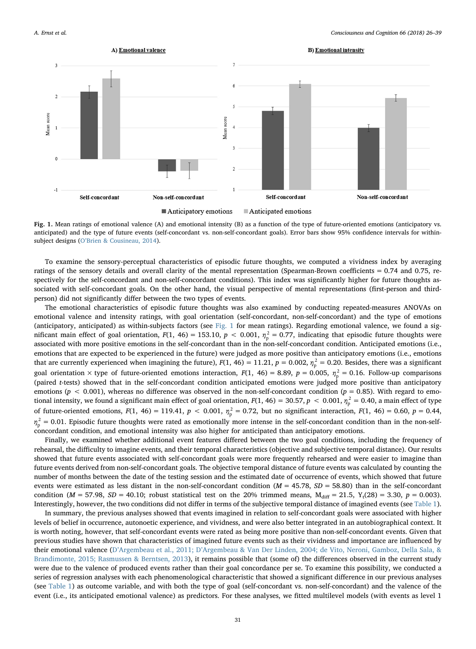<span id="page-5-0"></span>

Fig. 1. Mean ratings of emotional valence (A) and emotional intensity (B) as a function of the type of future-oriented emotions (anticipatory vs. anticipated) and the type of future events (self-concordant vs. non-self-concordant goals). Error bars show 95% confidence intervals for withinsubject designs (O'[Brien & Cousineau, 2014](#page-13-15)).

To examine the sensory-perceptual characteristics of episodic future thoughts, we computed a vividness index by averaging ratings of the sensory details and overall clarity of the mental representation (Spearman-Brown coefficients = 0.74 and 0.75, respectively for the self-concordant and non-self-concordant conditions). This index was significantly higher for future thoughts associated with self-concordant goals. On the other hand, the visual perspective of mental representations (first-person and thirdperson) did not significantly differ between the two types of events.

The emotional characteristics of episodic future thoughts was also examined by conducting repeated-measures ANOVAs on emotional valence and intensity ratings, with goal orientation (self-concordant, non-self-concordant) and the type of emotions (anticipatory, anticipated) as within-subjects factors (see [Fig. 1](#page-5-0) for mean ratings). Regarding emotional valence, we found a significant main effect of goal orientation,  $F(1, 46) = 153.10$ ,  $p < 0.001$ ,  $\eta_p^2 = 0.77$ , indicating that episodic future thoughts were associated with more positive emotions in the self-concordant than in the non-self-concordant condition. Anticipated emotions (i.e., emotions that are expected to be experienced in the future) were judged as more positive than anticipatory emotions (i.e., emotions that are currently experienced when imagining the future),  $F(1, 46) = 11.21$ ,  $p = 0.002$ ,  $\eta_p^2 = 0.20$ . Besides, there was a significant goal orientation  $\times$  type of future-oriented emotions interaction,  $F(1, 46) = 8.89$ ,  $p = 0.005$ ,  $\eta_p^2 = 0.16$ . Follow-up comparisons (paired t-tests) showed that in the self-concordant condition anticipated emotions were judged more positive than anticipatory emotions ( $p < 0.001$ ), whereas no difference was observed in the non-self-concordant condition ( $p = 0.85$ ). With regard to emotional intensity, we found a significant main effect of goal orientation,  $F(1, 46) = 30.57, p < 0.001, \eta_p^2 = 0.40$ , a main effect of type of future-oriented emotions,  $F(1, 46) = 119.41$ ,  $p < 0.001$ ,  $\eta_p^2 = 0.72$ , but no significant interaction,  $F(1, 46) = 0.60$ ,  $p = 0.44$ ,  $\eta_{\rm p}^2$  = 0.01. Episodic future thoughts were rated as emotionally more intense in the self-concordant condition than in the non-selfconcordant condition, and emotional intensity was also higher for anticipated than anticipatory emotions.

Finally, we examined whether additional event features differed between the two goal conditions, including the frequency of rehearsal, the difficulty to imagine events, and their temporal characteristics (objective and subjective temporal distance). Our results showed that future events associated with self-concordant goals were more frequently rehearsed and were easier to imagine than future events derived from non-self-concordant goals. The objective temporal distance of future events was calculated by counting the number of months between the date of the testing session and the estimated date of occurrence of events, which showed that future events were estimated as less distant in the non-self-concordant condition  $(M = 45.78, SD = 58.80)$  than in the self-concordant condition ( $M = 57.98$ ,  $SD = 40.10$ ; robust statistical test on the 20% trimmed means,  $M_{\text{diff}} = 21.5$ ,  $Y_t(28) = 3.30$ ,  $p = 0.003$ ). Interestingly, however, the two conditions did not differ in terms of the subjective temporal distance of imagined events (see [Table 1](#page-4-0)).

In summary, the previous analyses showed that events imagined in relation to self-concordant goals were associated with higher levels of belief in occurrence, autonoetic experience, and vividness, and were also better integrated in an autobiographical context. It is worth noting, however, that self-concordant events were rated as being more positive than non-self-concordant events. Given that previous studies have shown that characteristics of imagined future events such as their vividness and importance are influenced by their emotional valence (D'Argembeau et al., 2011; D'[Argembeau & Van Der Linden, 2004; de Vito, Neroni, Gamboz, Della Sala, &](#page-12-18) [Brandimonte, 2015; Rasmussen & Berntsen, 2013](#page-12-18)), it remains possible that (some of) the differences observed in the current study were due to the valence of produced events rather than their goal concordance per se. To examine this possibility, we conducted a series of regression analyses with each phenomenological characteristic that showed a significant difference in our previous analyses (see [Table 1](#page-4-0)) as outcome variable, and with both the type of goal (self-concordant vs. non-self-concordant) and the valence of the event (i.e., its anticipated emotional valence) as predictors. For these analyses, we fitted multilevel models (with events as level 1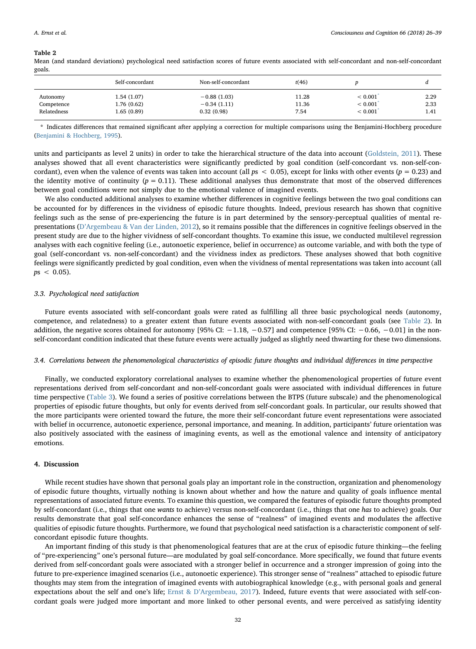#### <span id="page-6-0"></span>Table 2

Mean (and standard deviations) psychological need satisfaction scores of future events associated with self-concordant and non-self-concordant goals.

|             | Self-concordant | Non-self-concordant | t(46) |             | α    |
|-------------|-----------------|---------------------|-------|-------------|------|
| Autonomy    | 1.54(1.07)      | $-0.88(1.03)$       | 11.28 | ${}< 0.001$ | 2.29 |
| Competence  | 1.76(0.62)      | $-0.34(1.11)$       | 11.36 | ${}< 0.001$ | 2.33 |
| Relatedness | 1.65 (0.89)     | 0.32(0.98)          | 7.54  | ${}< 0.001$ | 1.41 |

<span id="page-6-1"></span>\* Indicates differences that remained significant after applying a correction for multiple comparisons using the Benjamini-Hochberg procedure ([Benjamini & Hochberg, 1995\)](#page-12-17).

units and participants as level 2 units) in order to take the hierarchical structure of the data into account ([Goldstein, 2011](#page-12-19)). These analyses showed that all event characteristics were significantly predicted by goal condition (self-concordant vs. non-self-concordant), even when the valence of events was taken into account (all  $ps < 0.05$ ), except for links with other events ( $p = 0.23$ ) and the identity motive of continuity  $(p = 0.11)$ . These additional analyses thus demonstrate that most of the observed differences between goal conditions were not simply due to the emotional valence of imagined events.

We also conducted additional analyses to examine whether differences in cognitive feelings between the two goal conditions can be accounted for by differences in the vividness of episodic future thoughts. Indeed, previous research has shown that cognitive feelings such as the sense of pre-experiencing the future is in part determined by the sensory-perceptual qualities of mental representations (D'[Argembeau & Van der Linden, 2012](#page-12-10)), so it remains possible that the differences in cognitive feelings observed in the present study are due to the higher vividness of self-concordant thoughts. To examine this issue, we conducted multilevel regression analyses with each cognitive feeling (i.e., autonoetic experience, belief in occurrence) as outcome variable, and with both the type of goal (self-concordant vs. non-self-concordant) and the vividness index as predictors. These analyses showed that both cognitive feelings were significantly predicted by goal condition, even when the vividness of mental representations was taken into account (all  $ps < 0.05$ ).

#### 3.3. Psychological need satisfaction

Future events associated with self-concordant goals were rated as fulfilling all three basic psychological needs (autonomy, competence, and relatedness) to a greater extent than future events associated with non-self-concordant goals (see [Table 2](#page-6-0)). In addition, the negative scores obtained for autonomy [95% CI:  $-1.18$ ,  $-0.57$ ] and competence [95% CI:  $-0.66$ ,  $-0.01$ ] in the nonself-concordant condition indicated that these future events were actually judged as slightly need thwarting for these two dimensions.

#### 3.4. Correlations between the phenomenological characteristics of episodic future thoughts and individual differences in time perspective

Finally, we conducted exploratory correlational analyses to examine whether the phenomenological properties of future event representations derived from self-concordant and non-self-concordant goals were associated with individual differences in future time perspective [\(Table 3\)](#page-7-0). We found a series of positive correlations between the BTPS (future subscale) and the phenomenological properties of episodic future thoughts, but only for events derived from self-concordant goals. In particular, our results showed that the more participants were oriented toward the future, the more their self-concordant future event representations were associated with belief in occurrence, autonoetic experience, personal importance, and meaning. In addition, participants' future orientation was also positively associated with the easiness of imagining events, as well as the emotional valence and intensity of anticipatory emotions.

## 4. Discussion

While recent studies have shown that personal goals play an important role in the construction, organization and phenomenology of episodic future thoughts, virtually nothing is known about whether and how the nature and quality of goals influence mental representations of associated future events. To examine this question, we compared the features of episodic future thoughts prompted by self-concordant (i.e., things that one wants to achieve) versus non-self-concordant (i.e., things that one has to achieve) goals. Our results demonstrate that goal self-concordance enhances the sense of "realness" of imagined events and modulates the affective qualities of episodic future thoughts. Furthermore, we found that psychological need satisfaction is a characteristic component of selfconcordant episodic future thoughts.

An important finding of this study is that phenomenological features that are at the crux of episodic future thinking—the feeling of "pre-experiencing" one's personal future—are modulated by goal self-concordance. More specifically, we found that future events derived from self-concordant goals were associated with a stronger belief in occurrence and a stronger impression of going into the future to pre-experience imagined scenarios (i.e., autonoetic experience). This stronger sense of "realness" attached to episodic future thoughts may stem from the integration of imagined events with autobiographical knowledge (e.g., with personal goals and general expectations about the self and one's life; Ernst & D'[Argembeau, 2017\)](#page-12-11). Indeed, future events that were associated with self-concordant goals were judged more important and more linked to other personal events, and were perceived as satisfying identity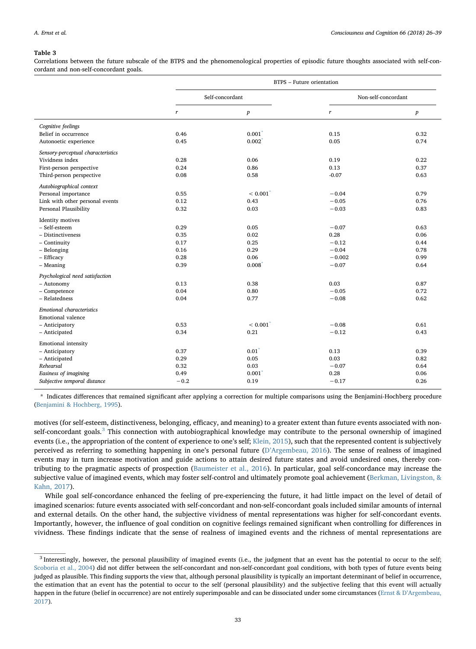## <span id="page-7-0"></span>Table 3

Correlations between the future subscale of the BTPS and the phenomenological properties of episodic future thoughts associated with self-concordant and non-self-concordant goals.

|                                    | BTPS - Future orientation |                        |                     |      |  |
|------------------------------------|---------------------------|------------------------|---------------------|------|--|
|                                    | Self-concordant           |                        | Non-self-concordant |      |  |
|                                    | r                         | $\boldsymbol{p}$       | r                   | p    |  |
| Cognitive feelings                 |                           |                        |                     |      |  |
| Belief in occurrence               | 0.46                      | $0.001$ <sup>*</sup>   | 0.15                | 0.32 |  |
| Autonoetic experience              | 0.45                      | 0.002                  | 0.05                | 0.74 |  |
| Sensory-perceptual characteristics |                           |                        |                     |      |  |
| Vividness index                    | 0.28                      | 0.06                   | 0.19                | 0.22 |  |
| First-person perspective           | 0.24                      | 0.86                   | 0.13                | 0.37 |  |
| Third-person perspective           | 0.08                      | 0.58                   | $-0.07$             | 0.63 |  |
| Autobiographical context           |                           |                        |                     |      |  |
| Personal importance                | 0.55                      | $< 0.001$ <sup>*</sup> | $-0.04$             | 0.79 |  |
| Link with other personal events    | 0.12                      | 0.43                   | $-0.05$             | 0.76 |  |
| Personal Plausibility              | 0.32                      | 0.03                   | $-0.03$             | 0.83 |  |
| Identity motives                   |                           |                        |                     |      |  |
| - Self-esteem                      | 0.29                      | 0.05                   | $-0.07$             | 0.63 |  |
| - Distinctiveness                  | 0.35                      | 0.02                   | 0.28                | 0.06 |  |
| - Continuity                       | 0.17                      | 0.25                   | $-0.12$             | 0.44 |  |
| - Belonging                        | 0.16                      | 0.29                   | $-0.04$             | 0.78 |  |
| - Efficacy                         | 0.28                      | 0.06                   | $-0.002$            | 0.99 |  |
| $-$ Meaning                        | 0.39                      | 0.008                  | $-0.07$             | 0.64 |  |
| Psychological need satisfaction    |                           |                        |                     |      |  |
| - Autonomy                         | 0.13                      | 0.38                   | 0.03                | 0.87 |  |
| - Competence                       | 0.04                      | 0.80                   | $-0.05$             | 0.72 |  |
| - Relatedness                      | 0.04                      | 0.77                   | $-0.08$             | 0.62 |  |
| <b>Emotional characteristics</b>   |                           |                        |                     |      |  |
| Emotional valence                  | 0.53                      | < 0.001                | $-0.08$             | 0.61 |  |
| - Anticipatory<br>- Anticipated    | 0.34                      | 0.21                   | $-0.12$             | 0.43 |  |
|                                    |                           |                        |                     |      |  |
| Emotional intensity                |                           |                        |                     |      |  |
| - Anticipatory                     | 0.37                      | 0.01                   | 0.13                | 0.39 |  |
| - Anticipated                      | 0.29                      | 0.05                   | 0.03                | 0.82 |  |
| Rehearsal                          | 0.32                      | 0.03                   | $-0.07$             | 0.64 |  |
| Easiness of imagining              | 0.49<br>$-0.2$            | $0.001$ <sup>*</sup>   | 0.28                | 0.06 |  |
| Subjective temporal distance       |                           | 0.19                   | $-0.17$             | 0.26 |  |

<span id="page-7-2"></span>\* Indicates differences that remained significant after applying a correction for multiple comparisons using the Benjamini-Hochberg procedure ([Benjamini & Hochberg, 1995\)](#page-12-17).

motives (for self-esteem, distinctiveness, belonging, efficacy, and meaning) to a greater extent than future events associated with non-self-concordant goals.<sup>[3](#page-7-1)</sup> This connection with autobiographical knowledge may contribute to the personal ownership of imagined events (i.e., the appropriation of the content of experience to one's self; [Klein, 2015\)](#page-13-16), such that the represented content is subjectively perceived as referring to something happening in one's personal future (D'[Argembeau, 2016](#page-12-4)). The sense of realness of imagined events may in turn increase motivation and guide actions to attain desired future states and avoid undesired ones, thereby contributing to the pragmatic aspects of prospection [\(Baumeister et al., 2016\)](#page-11-0). In particular, goal self-concordance may increase the subjective value of imagined events, which may foster self-control and ultimately promote goal achievement [\(Berkman, Livingston, &](#page-12-20) [Kahn, 2017](#page-12-20)).

While goal self-concordance enhanced the feeling of pre-experiencing the future, it had little impact on the level of detail of imagined scenarios: future events associated with self-concordant and non-self-concordant goals included similar amounts of internal and external details. On the other hand, the subjective vividness of mental representations was higher for self-concordant events. Importantly, however, the influence of goal condition on cognitive feelings remained significant when controlling for differences in vividness. These findings indicate that the sense of realness of imagined events and the richness of mental representations are

<span id="page-7-1"></span><sup>&</sup>lt;sup>3</sup> Interestingly, however, the personal plausibility of imagined events (i.e., the judgment that an event has the potential to occur to the self; [Scoboria et al., 2004\)](#page-13-10) did not differ between the self-concordant and non-self-concordant goal conditions, with both types of future events being judged as plausible. This finding supports the view that, although personal plausibility is typically an important determinant of belief in occurrence, the estimation that an event has the potential to occur to the self (personal plausibility) and the subjective feeling that this event will actually happen in the future (belief in occurrence) are not entirely superimposable and can be dissociated under some circumstances (Ernst & D'[Argembeau,](#page-12-11) [2017](#page-12-11)).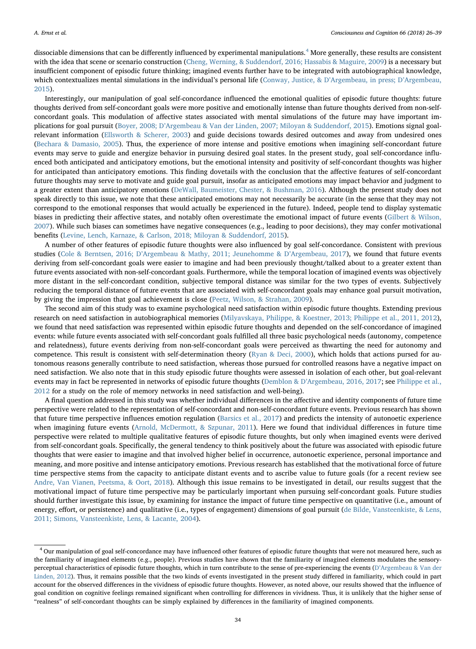dissociable dimensions that can be differently influenced by experimental manipulations.<sup>[4](#page-8-0)</sup> More generally, these results are consistent with the idea that scene or scenario construction [\(Cheng, Werning, & Suddendorf, 2016; Hassabis & Maguire, 2009](#page-12-21)) is a necessary but insufficient component of episodic future thinking; imagined events further have to be integrated with autobiographical knowledge, which contextualizes mental simulations in the individual's personal life (Conway, Justice, & D'[Argembeau, in press; D](#page-12-22)'Argembeau, [2015\)](#page-12-22).

Interestingly, our manipulation of goal self-concordance influenced the emotional qualities of episodic future thoughts: future thoughts derived from self-concordant goals were more positive and emotionally intense than future thoughts derived from non-selfconcordant goals. This modulation of affective states associated with mental simulations of the future may have important implications for goal pursuit (Boyer, 2008; D'[Argembeau & Van der Linden, 2007; Miloyan & Suddendorf, 2015](#page-12-23)). Emotions signal goalrelevant information [\(Ellsworth & Scherer, 2003\)](#page-12-24) and guide decisions towards desired outcomes and away from undesired ones ([Bechara & Damasio, 2005](#page-12-25)). Thus, the experience of more intense and positive emotions when imagining self-concordant future events may serve to guide and energize behavior in pursuing desired goal states. In the present study, goal self-concordance influenced both anticipated and anticipatory emotions, but the emotional intensity and positivity of self-concordant thoughts was higher for anticipated than anticipatory emotions. This finding dovetails with the conclusion that the affective features of self-concordant future thoughts may serve to motivate and guide goal pursuit, insofar as anticipated emotions may impact behavior and judgment to a greater extent than anticipatory emotions [\(DeWall, Baumeister, Chester, & Bushman, 2016](#page-12-26)). Although the present study does not speak directly to this issue, we note that these anticipated emotions may not necessarily be accurate (in the sense that they may not correspond to the emotional responses that would actually be experienced in the future). Indeed, people tend to display systematic biases in predicting their affective states, and notably often overestimate the emotional impact of future events [\(Gilbert & Wilson,](#page-12-27) [2007\)](#page-12-27). While such biases can sometimes have negative consequences (e.g., leading to poor decisions), they may confer motivational benefits [\(Levine, Lench, Karnaze, & Carlson, 2018; Miloyan & Suddendorf, 2015](#page-13-17)).

A number of other features of episodic future thoughts were also influenced by goal self-concordance. Consistent with previous studies (Cole & Berntsen, 2016; D'[Argembeau & Mathy, 2011; Jeunehomme & D](#page-12-3)'Argembeau, 2017), we found that future events deriving from self-concordant goals were easier to imagine and had been previously thought/talked about to a greater extent than future events associated with non-self-concordant goals. Furthermore, while the temporal location of imagined events was objectively more distant in the self-concordant condition, subjective temporal distance was similar for the two types of events. Subjectively reducing the temporal distance of future events that are associated with self-concordant goals may enhance goal pursuit motivation, by giving the impression that goal achievement is close ([Peetz, Wilson, & Strahan, 2009\)](#page-13-18).

The second aim of this study was to examine psychological need satisfaction within episodic future thoughts. Extending previous research on need satisfaction in autobiographical memories ([Milyavskaya, Philippe, & Koestner, 2013; Philippe et al., 2011, 2012](#page-13-19)), we found that need satisfaction was represented within episodic future thoughts and depended on the self-concordance of imagined events: while future events associated with self-concordant goals fulfilled all three basic psychological needs (autonomy, competence and relatedness), future events deriving from non-self-concordant goals were perceived as thwarting the need for autonomy and competence. This result is consistent with self-determination theory ([Ryan & Deci, 2000\)](#page-13-20), which holds that actions pursed for autonomous reasons generally contribute to need satisfaction, whereas those pursued for controlled reasons have a negative impact on need satisfaction. We also note that in this study episodic future thoughts were assessed in isolation of each other, but goal-relevant events may in fact be represented in networks of episodic future thoughts (Demblon & D'[Argembeau, 2016, 2017;](#page-12-8) see [Philippe et al.,](#page-13-21) [2012](#page-13-21) for a study on the role of memory networks in need satisfaction and well-being).

A final question addressed in this study was whether individual differences in the affective and identity components of future time perspective were related to the representation of self-concordant and non-self-concordant future events. Previous research has shown that future time perspective influences emotion regulation ([Barsics et al., 2017](#page-11-3)) and predicts the intensity of autonoetic experience when imagining future events ([Arnold, McDermott, & Szpunar, 2011\)](#page-11-5). Here we found that individual differences in future time perspective were related to multiple qualitative features of episodic future thoughts, but only when imagined events were derived from self-concordant goals. Specifically, the general tendency to think positively about the future was associated with episodic future thoughts that were easier to imagine and that involved higher belief in occurrence, autonoetic experience, personal importance and meaning, and more positive and intense anticipatory emotions. Previous research has established that the motivational force of future time perspective stems from the capacity to anticipate distant events and to ascribe value to future goals (for a recent review see [Andre, Van Vianen, Peetsma, & Oort, 2018](#page-11-6)). Although this issue remains to be investigated in detail, our results suggest that the motivational impact of future time perspective may be particularly important when pursuing self-concordant goals. Future studies should further investigate this issue, by examining for instance the impact of future time perspective on quantitative (i.e., amount of energy, effort, or persistence) and qualitative (i.e., types of engagement) dimensions of goal pursuit ([de Bilde, Vansteenkiste, & Lens,](#page-12-28) [2011; Simons, Vansteenkiste, Lens, & Lacante, 2004\)](#page-12-28).

<span id="page-8-0"></span><sup>&</sup>lt;sup>4</sup> Our manipulation of goal self-concordance may have influenced other features of episodic future thoughts that were not measured here, such as the familiarity of imagined elements (e.g., people). Previous studies have shown that the familiarity of imagined elements modulates the sensoryperceptual characteristics of episodic future thoughts, which in turn contribute to the sense of pre-experiencing the events (D'[Argembeau & Van der](#page-12-29) [Linden, 2012](#page-12-29)). Thus, it remains possible that the two kinds of events investigated in the present study differed in familiarity, which could in part account for the observed differences in the vividness of episodic future thoughts. However, as noted above, our results showed that the influence of goal condition on cognitive feelings remained significant when controlling for differences in vividness. Thus, it is unlikely that the higher sense of "realness" of self-concordant thoughts can be simply explained by differences in the familiarity of imagined components.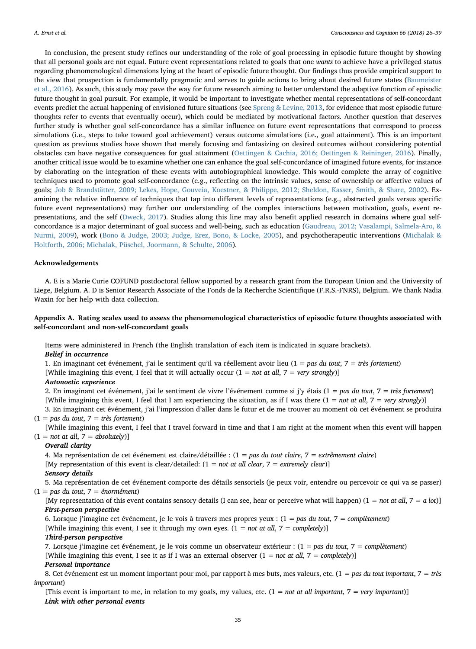In conclusion, the present study refines our understanding of the role of goal processing in episodic future thought by showing that all personal goals are not equal. Future event representations related to goals that one wants to achieve have a privileged status regarding phenomenological dimensions lying at the heart of episodic future thought. Our findings thus provide empirical support to the view that prospection is fundamentally pragmatic and serves to guide actions to bring about desired future states ([Baumeister](#page-11-0) [et al., 2016\)](#page-11-0). As such, this study may pave the way for future research aiming to better understand the adaptive function of episodic future thought in goal pursuit. For example, it would be important to investigate whether mental representations of self-concordant events predict the actual happening of envisioned future situations (see [Spreng & Levine, 2013,](#page-13-22) for evidence that most episodic future thoughts refer to events that eventually occur), which could be mediated by motivational factors. Another question that deserves further study is whether goal self-concordance has a similar influence on future event representations that correspond to process simulations (i.e., steps to take toward goal achievement) versus outcome simulations (i.e., goal attainment). This is an important question as previous studies have shown that merely focusing and fantasizing on desired outcomes without considering potential obstacles can have negative consequences for goal attainment [\(Oettingen & Cachia, 2016; Oettingen & Reininger, 2016](#page-13-23)). Finally, another critical issue would be to examine whether one can enhance the goal self-concordance of imagined future events, for instance by elaborating on the integration of these events with autobiographical knowledge. This would complete the array of cognitive techniques used to promote goal self-concordance (e.g., reflecting on the intrinsic values, sense of ownership or affective values of goals; [Job & Brandstätter, 2009; Lekes, Hope, Gouveia, Koestner, & Philippe, 2012; Sheldon, Kasser, Smith, & Share, 2002\)](#page-13-24). Examining the relative influence of techniques that tap into different levels of representations (e.g., abstracted goals versus specific future event representations) may further our understanding of the complex interactions between motivation, goals, event representations, and the self [\(Dweck, 2017](#page-12-9)). Studies along this line may also benefit applied research in domains where goal selfconcordance is a major determinant of goal success and well-being, such as education [\(Gaudreau, 2012; Vasalampi, Salmela-Aro, &](#page-12-30) [Nurmi, 2009\)](#page-12-30), work [\(Bono & Judge, 2003; Judge, Erez, Bono, & Locke, 2005](#page-12-31)), and psychotherapeutic interventions [\(Michalak &](#page-13-25) [Holtforth, 2006; Michalak, Püschel, Joormann, & Schulte, 2006\)](#page-13-25).

### Acknowledgements

A. E is a Marie Curie COFUND postdoctoral fellow supported by a research grant from the European Union and the University of Liege, Belgium. A. D is Senior Research Associate of the Fonds de la Recherche Scientifique (F.R.S.-FNRS), Belgium. We thank Nadia Waxin for her help with data collection.

## <span id="page-9-0"></span>Appendix A. Rating scales used to assess the phenomenological characteristics of episodic future thoughts associated with self-concordant and non-self-concordant goals

Items were administered in French (the English translation of each item is indicated in square brackets).

#### Belief in occurrence

1. En imaginant cet événement, j'ai le sentiment qu'il va réellement avoir lieu (1 = pas du tout, 7 = très fortement)

[While imagining this event, I feel that it will actually occur  $(1 = not at all, 7 = very strongly)]$ 

#### Autonoetic experience

2. En imaginant cet événement, j'ai le sentiment de vivre l'événement comme si j'y étais ( $1 = pas du tout, 7 = très fortement)$ ) [While imagining this event, I feel that I am experiencing the situation, as if I was there  $(1 = not at all, 7 = very strongly)]$ 

3. En imaginant cet événement, j'ai l'impression d'aller dans le futur et de me trouver au moment où cet événement se produira  $(1 = pas du tout, 7 = très fortement)$ 

[While imagining this event, I feel that I travel forward in time and that I am right at the moment when this event will happen  $(1 = not at all, 7 = absolutely)]$ 

### Overall clarity

4. Ma représentation de cet événement est claire/détaillée :  $(1 = pas du tout claire, 7 = extremement claire)$ [My representation of this event is clear/detailed:  $(1 = not at all clear, 7 = extremely clear)$ ]

## Sensory details

5. Ma représentation de cet événement comporte des détails sensoriels (je peux voir, entendre ou percevoir ce qui va se passer)  $(1 = pas du tout, 7 = énormément)$ 

[My representation of this event contains sensory details (I can see, hear or perceive what will happen) ( $1 = not at all, 7 = a lot$ )] First-person perspective

6. Lorsque j'imagine cet événement, je le vois à travers mes propres yeux : ( $1 = pas du tout, 7 = complètement$ ) [While imagining this event, I see it through my own eyes.  $(1 = not at all, 7 = completely)$ ]

## Third-person perspective

7. Lorsque j'imagine cet événement, je le vois comme un observateur extérieur :  $(1 = pas du tout, 7 = complètement)$ 

[While imagining this event, I see it as if I was an external observer  $(1 = not at all, 7 = completely)$ ]

### Personal importance

8. Cet événement est un moment important pour moi, par rapport à mes buts, mes valeurs, etc. ( $1 = pas du$  tout important,  $7 = tr\grave{e}s$ important)

[This event is important to me, in relation to my goals, my values, etc.  $(1 = not at all important, 7 = very important)$ ] Link with other personal events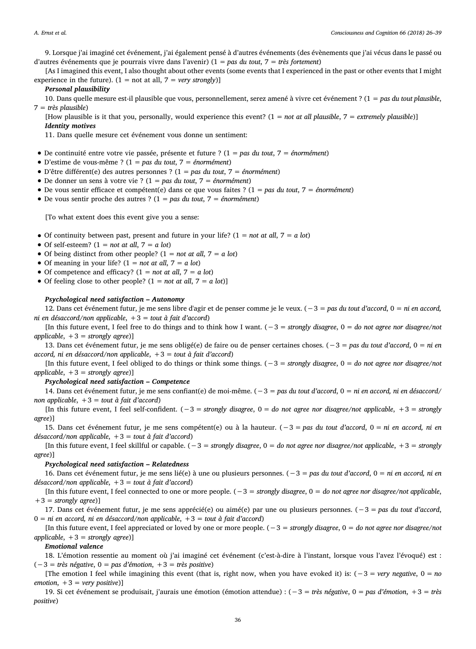9. Lorsque j'ai imaginé cet événement, j'ai également pensé à d'autres événements (des évènements que j'ai vécus dans le passé ou d'autres événements que je pourrais vivre dans l'avenir) ( $1 = pas du tout, 7 = très$  fortement)

[As I imagined this event, I also thought about other events (some events that I experienced in the past or other events that I might experience in the future).  $(1 = not at all, 7 = very strongly)]$ 

## Personal plausibility

10. Dans quelle mesure est-il plausible que vous, personnellement, serez amené à vivre cet événement ? ( $1 = pas du tout plausible$ , 7 = très plausible)

[How plausible is it that you, personally, would experience this event?  $(1 = not at all plausible, 7 = extremely plausible)$ ] Identity motives

11. Dans quelle mesure cet événement vous donne un sentiment:

- De continuité entre votre vie passée, présente et future ? ( $1 = pas du tout, 7 = énormément$ )
- D'estime de vous-même ? ( $1 = pas du tout, 7 = énormément$ )
- D'être différent(e) des autres personnes ? ( $1 = pas du tout, 7 = énormément$ )
- De donner un sens à votre vie ? ( $1 = pas du tout, 7 = énormément$ )
- De vous sentir efficace et compétent(e) dans ce que vous faites ? (1 = pas du tout, 7 = énormément)
- De vous sentir proche des autres ? ( $1 = pas du tout$ ,  $7 = énormément$ )

[To what extent does this event give you a sense:

- Of continuity between past, present and future in your life?  $(1 = not at all, 7 = a lot)$
- Of self-esteem?  $(1 = not at all, 7 = a lot)$
- Of being distinct from other people?  $(1 = not at all, 7 = a lot)$
- Of meaning in your life?  $(1 = not at all, 7 = a lot)$
- Of competence and efficacy?  $(1 = not at all, 7 = a lot)$
- Of feeling close to other people?  $(1 = not at all, 7 = a lot)$ ]

#### Psychological need satisfaction – Autonomy

12. Dans cet événement futur, je me sens libre d'agir et de penser comme je le veux. (−3 = pas du tout d'accord, 0 = ni en accord, ni en désaccord/non applicable,  $+3 =$  tout à fait d'accord)

[In this future event, I feel free to do things and to think how I want. (−3 = strongly disagree, 0= do not agree nor disagree/not applicable,  $+3 =$  strongly agree)]

13. Dans cet événement futur, je me sens obligé(e) de faire ou de penser certaines choses. (−3 = pas du tout d'accord, 0= ni en accord, ni en désaccord/non applicable,  $+3 =$  tout à fait d'accord)

[In this future event, I feel obliged to do things or think some things. (−3 = strongly disagree, 0= do not agree nor disagree/not applicable,  $+3 =$  strongly agree)]

## Psychological need satisfaction – Competence

14. Dans cet événement futur, je me sens confiant(e) de moi-même. (−3 = pas du tout d'accord,0= ni en accord, ni en désaccord/ non applicable,  $+3 =$  tout à fait d'accord)

[In this future event, I feel self-confident. (−3 = strongly disagree, 0= do not agree nor disagree/not applicable, +3 = strongly agree)]

15. Dans cet événement futur, je me sens compétent(e) ou à la hauteur. (−3 = pas du tout d'accord, 0= ni en accord, ni en désaccord/non applicable,  $+3 =$  tout à fait d'accord)

[In this future event, I feel skillful or capable.  $(-3 =$  strongly disagree,  $0 =$  do not agree nor disagree/not applicable,  $+3 =$  strongly agree)]

#### Psychological need satisfaction – Relatedness

16. Dans cet événement futur, je me sens lié(e) à une ou plusieurs personnes. (−3 = pas du tout d'accord, 0= ni en accord, ni en désaccord/non applicable,  $+3 =$  tout à fait d'accord)

[In this future event, I feel connected to one or more people.  $(-3 = strongly disagree, 0 = do not agree nor disagree/not applicable,$  $+3 =$  strongly agree)]

17. Dans cet événement futur, je me sens apprécié(e) ou aimé(e) par une ou plusieurs personnes. (−3 = pas du tout d'accord,  $0 = ni$  en accord, ni en désaccord/non applicable,  $+3 =$  tout à fait d'accord)

[In this future event, I feel appreciated or loved by one or more people. (−3 = strongly disagree,0= do not agree nor disagree/not applicable,  $+3 =$  strongly agree)]

### Emotional valence

18. L'émotion ressentie au moment où j'ai imaginé cet événement (c'est-à-dire à l'instant, lorsque vous l'avez l'évoqué) est :  $(-3 = tr\grave{e}s$  négative,  $0 = pas$  d'émotion,  $+3 = tr\grave{e}s$  positive)

[The emotion I feel while imagining this event (that is, right now, when you have evoked it) is:  $(-3 = \text{very negative}, 0 = \text{no})$  $emotion, +3 = very positive$ ]

19. Si cet événement se produisait, j'aurais une émotion (émotion attendue) : (−3 = très négative, 0 = pas d'émotion, +3 = très positive)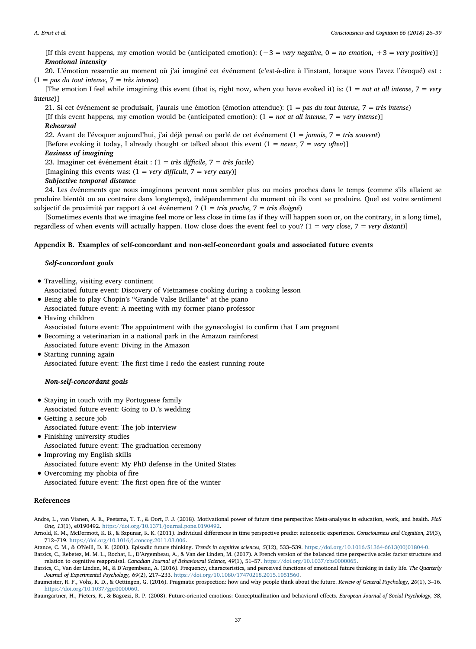[If this event happens, my emotion would be (anticipated emotion):  $(-3 = v \text{ery negative}, 0 = \text{no emotion}, +3 = v \text{ery positive})$ ] Emotional intensity

20. L'émotion ressentie au moment où j'ai imaginé cet événement (c'est-à-dire à l'instant, lorsque vous l'avez l'évoqué) est :  $(1 = pas du tout intense, 7 = très intense)$ 

[The emotion I feel while imagining this event (that is, right now, when you have evoked it) is:  $(1 = not at all intense, 7 = very$ intense)]

21. Si cet événement se produisait, j'aurais une émotion (émotion attendue): (1 = pas du tout intense, 7 = très intense) [If this event happens, my emotion would be (anticipated emotion):  $(1 = not at all intense, 7 = very intense)$ ]

Rehearsal

22. Avant de l'évoquer aujourd'hui, j'ai déjà pensé ou parlé de cet événement ( $1 =$  jamais,  $7 =$  très souvent)

[Before evoking it today, I already thought or talked about this event  $(1 = never, 7 = very often)$ ]

## Easiness of imagining

23. Imaginer cet événement était :  $(1 = tr\`es \tdiff\`elle, 7 = tr\`es \tfacile)$ 

[Imagining this events was:  $(1 = very \t difficult, 7 = very \t easy)$ ]

## Subjective temporal distance

24. Les événements que nous imaginons peuvent nous sembler plus ou moins proches dans le temps (comme s'ils allaient se produire bientôt ou au contraire dans longtemps), indépendamment du moment où ils vont se produire. Quel est votre sentiment subjectif de proximité par rapport à cet événement ? ( $1 = tr$ ès proche,  $7 = tr$ ès éloigné)

[Sometimes events that we imagine feel more or less close in time (as if they will happen soon or, on the contrary, in a long time), regardless of when events will actually happen. How close does the event feel to you? (1 = very close, 7 = very distant)]

## <span id="page-11-4"></span>Appendix B. Examples of self-concordant and non-self-concordant goals and associated future events

## Self-concordant goals

- Travelling, visiting every continent
	- Associated future event: Discovery of Vietnamese cooking during a cooking lesson
- Being able to play Chopin'<sup>s</sup> "Grande Valse Brillante" at the piano Associated future event: A meeting with my former piano professor
- Having children
- Associated future event: The appointment with the gynecologist to confirm that I am pregnant
- Becoming a veterinarian in a national park in the Amazon rainforest Associated future event: Diving in the Amazon
- Starting running again Associated future event: The first time I redo the easiest running route

## Non-self-concordant goals

- Staying in touch with my Portuguese family Associated future event: Going to D.'s wedding
- Getting a secure job Associated future event: The job interview
- Finishing university studies
- Associated future event: The graduation ceremony
- Improving my English skills
- Associated future event: My PhD defense in the United States
- Overcoming my phobia of fire Associated future event: The first open fire of the winter

## References

<span id="page-11-6"></span>Andre, L., van Vianen, A. E., Peetsma, T. T., & Oort, F. J. (2018). Motivational power of future time perspective: Meta-analyses in education, work, and health. PloS One, 13(1), e0190492. [https://doi.org/10.1371/journal.pone.0190492.](https://doi.org/10.1371/journal.pone.0190492)

<span id="page-11-5"></span>Arnold, K. M., McDermott, K. B., & Szpunar, K. K. (2011). Individual differences in time perspective predict autonoetic experience. Consciousness and Cognition, 20(3), 712–719. <https://doi.org/10.1016/j.concog.2011.03.006>.

<span id="page-11-1"></span>Atance, C. M., & O'Neill, D. K. (2001). Episodic future thinking. Trends in cognitive sciences, 5(12), 533–539. [https://doi.org/10.1016/S1364-6613\(00\)01804-0](https://doi.org/10.1016/S1364-6613(00)01804-0).

<span id="page-11-3"></span>Barsics, C., Rebetez, M. M. L., Rochat, L., D'Argembeau, A., & Van der Linden, M. (2017). A French version of the balanced time perspective scale: factor structure and relation to cognitive reappraisal. Canadian Journal of Behavioural Science, 49(1), 51–57. <https://doi.org/10.1037/cbs0000065>.

<span id="page-11-2"></span>Barsics, C., Van der Linden, M., & D'Argembeau, A. (2016). Frequency, characteristics, and perceived functions of emotional future thinking in daily life. The Quarterly Journal of Experimental Psychology, 69(2), 217–233. [https://doi.org/10.1080/17470218.2015.1051560.](https://doi.org/10.1080/17470218.2015.1051560)

<span id="page-11-0"></span>Baumeister, R. F., Vohs, K. D., & Oettingen, G. (2016). Pragmatic prospection: how and why people think about the future. Review of General Psychology, 20(1), 3-16. <https://doi.org/10.1037/gpr0000060>.

Baumgartner, H., Pieters, R., & Bagozzi, R. P. (2008). Future-oriented emotions: Conceptualization and behavioral effects. European Journal of Social Psychology, 38,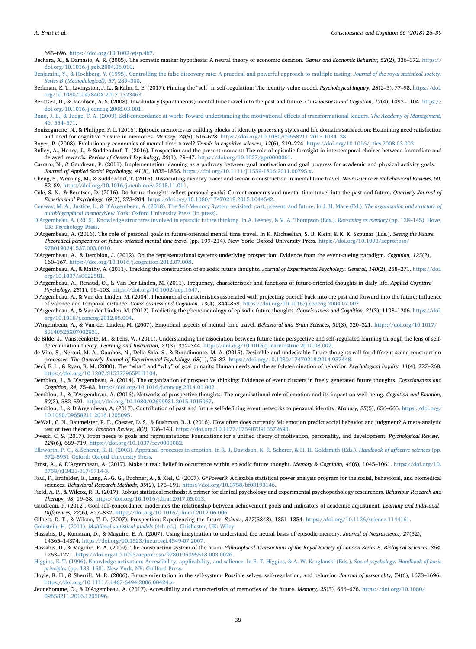685–696. <https://doi.org/10.1002/ejsp.467>.

- <span id="page-12-25"></span>Bechara, A., & Damasio, A. R. (2005). The somatic marker hypothesis: A neural theory of economic decision. Games and Economic Behavior, 52(2), 336–372. [https://](https://doi.org/10.1016/j.geb.2004.06.010) [doi.org/10.1016/j.geb.2004.06.010.](https://doi.org/10.1016/j.geb.2004.06.010)
- <span id="page-12-17"></span>[Benjamini, Y., & Hochberg, Y. \(1995\). Controlling the false discovery rate: A practical and powerful approach to multiple testing.](http://refhub.elsevier.com/S1053-8100(18)30339-8/h0045) Journal of the royal statistical society. [Series B \(Methodological\), 57](http://refhub.elsevier.com/S1053-8100(18)30339-8/h0045), 289–300.
- <span id="page-12-20"></span>Berkman, E. T., Livingston, J. L., & Kahn, L. E. (2017). Finding the "self" in self-regulation: The identity-value model. Psychological Inquiry, 28(2-3), 77-98. [https://doi.](https://doi.org/10.1080/1047840X.2017.1323463) [org/10.1080/1047840X.2017.1323463](https://doi.org/10.1080/1047840X.2017.1323463).
- <span id="page-12-0"></span>Berntsen, D., & Jacobsen, A. S. (2008). Involuntary (spontaneous) mental time travel into the past and future. Consciousness and Cognition, 17(4), 1093-1104. [https://](https://doi.org/10.1016/j.concog.2008.03.001) [doi.org/10.1016/j.concog.2008.03.001.](https://doi.org/10.1016/j.concog.2008.03.001)
- <span id="page-12-31"></span>[Bono, J. E., & Judge, T. A. \(2003\). Self-concordance at work: Toward understanding the motivational e](http://refhub.elsevier.com/S1053-8100(18)30339-8/h0060)ffects of transformational leaders. The Academy of Management, 46[, 554](http://refhub.elsevier.com/S1053-8100(18)30339-8/h0060)–571.
- <span id="page-12-14"></span>Bouizegarene, N., & Philippe, F. L. (2016). Episodic memories as building blocks of identity processing styles and life domains satisfaction: Examining need satisfaction and need for cognitive closure in memories. Memory, 24(5), 616–628. <https://doi.org/10.1080/09658211.2015.1034138>.
- <span id="page-12-23"></span>Boyer, P. (2008). Evolutionary economics of mental time travel? Trends in cognitive sciences, 12(6), 219–224. [https://doi.org/10.1016/j.tics.2008.03.003.](https://doi.org/10.1016/j.tics.2008.03.003)
- Bulley, A., Henry, J., & Suddendorf, T. (2016). Prospection and the present moment: The role of episodic foresight in intertemporal choices between immediate and delayed rewards. Review of General Psychology, 20(1), 29–47. [https://doi.org/10.1037/gpr0000061.](https://doi.org/10.1037/gpr0000061)
- <span id="page-12-6"></span>Carraro, N., & Gaudreau, P. (2011). Implementation planning as a pathway between goal motivation and goal progress for academic and physical activity goals. Journal of Applied Social Psychology, 41(8), 1835–1856. [https://doi.org/10.1111/j.1559-1816.2011.00795.x.](https://doi.org/10.1111/j.1559-1816.2011.00795.x)
- <span id="page-12-21"></span>Cheng, S., Werning, M., & Suddendorf, T. (2016). Dissociating memory traces and scenario construction in mental time travel. Neuroscience & Biobehavioral Reviews, 60, 82–89. [https://doi.org/10.1016/j.neubiorev.2015.11.011.](https://doi.org/10.1016/j.neubiorev.2015.11.011)
- <span id="page-12-3"></span>Cole, S. N., & Berntsen, D. (2016). Do future thoughts reflect personal goals? Current concerns and mental time travel into the past and future. Quarterly Journal of Experimental Psychology, 69(2), 273–284. [https://doi.org/10.1080/17470218.2015.1044542.](https://doi.org/10.1080/17470218.2015.1044542)
- <span id="page-12-22"></span>Conway, M. A., Justice, L., & D'[Argembeau, A. \(2018\). The Self-Memory System revisited: past, present, and future. In J. H. Mace \(Ed.\).](http://refhub.elsevier.com/S1053-8100(18)30339-8/h0095) The organization and structure of autobiographical memory[New York: Oxford University Press \(in press\)](http://refhub.elsevier.com/S1053-8100(18)30339-8/h0095).
- D'[Argembeau, A. \(2015\). Knowledge structures involved in episodic future thinking. In A. Feeney, & V. A. Thompson \(Eds.\).](http://refhub.elsevier.com/S1053-8100(18)30339-8/h0100) Reasoning as memory (pp. 128-145). Hove, [UK: Psychology Press.](http://refhub.elsevier.com/S1053-8100(18)30339-8/h0100)
- <span id="page-12-4"></span>D'Argembeau, A. (2016). The role of personal goals in future-oriented mental time travel. In K. Michaelian, S. B. Klein, & K. K. Szpunar (Eds.). Seeing the Future. Theoretical perspectives on future-oriented mental time travel (pp. 199–214). New York: Oxford University Press. [https://doi.org/10.1093/acprof:oso/](https://doi.org/10.1093/acprof:oso/9780190241537.003.0010) [9780190241537.003.0010](https://doi.org/10.1093/acprof:oso/9780190241537.003.0010).
- <span id="page-12-2"></span>D'Argembeau, A., & Demblon, J. (2012). On the representational systems underlying prospection: Evidence from the event-cueing paradigm. Cognition, 125(2), 160–167. <https://doi.org/10.1016/j.cognition.2012.07.008>.
- <span id="page-12-1"></span>D'Argembeau, A., & Mathy, A. (2011). Tracking the construction of episodic future thoughts. Journal of Experimental Psychology. General, 140(2), 258–271. [https://doi.](https://doi.org/10.1037/a0022581) [org/10.1037/a0022581](https://doi.org/10.1037/a0022581).
- <span id="page-12-18"></span>D'Argembeau, A., Renaud, O., & Van Der Linden, M. (2011). Frequency, characteristics and functions of future-oriented thoughts in daily life. Applied Cognitive Psychology, 25(1), 96–103. <https://doi.org/10.1002/acp.1647>.
- D'Argembeau, A., & Van der Linden, M. (2004). Phenomenal characteristics associated with projecting oneself back into the past and forward into the future: Influence of valence and temporal distance. Consciousness and Cognition, 13(4), 844–858. <https://doi.org/10.1016/j.concog.2004.07.007>.
- <span id="page-12-10"></span>D'Argembeau, A., & Van der Linden, M. (2012). Predicting the phenomenology of episodic future thoughts. Consciousness and Cognition, 21(3), 1198–1206. [https://doi.](https://doi.org/10.1016/j.concog.2012.05.004) [org/10.1016/j.concog.2012.05.004.](https://doi.org/10.1016/j.concog.2012.05.004)
- <span id="page-12-29"></span>D'Argembeau, A., & Van der Linden, M. (2007). Emotional aspects of mental time travel. Behavioral and Brain Sciences, 30(3), 320–321. [https://doi.org/10.1017/](https://doi.org/10.1017/S0140525X07002051) [S0140525X07002051](https://doi.org/10.1017/S0140525X07002051).
- <span id="page-12-28"></span>de Bilde, J., Vansteenkiste, M., & Lens, W. (2011). Understanding the association between future time perspective and self-regulated learning through the lens of selfdetermination theory. Learning and Instruction, 21(3), 332–344. [https://doi.org/10.1016/j.learninstruc.2010.03.002.](https://doi.org/10.1016/j.learninstruc.2010.03.002)
- de Vito, S., Neroni, M. A., Gamboz, N., Della Sala, S., & Brandimonte, M. A. (2015). Desirable and undesirable future thoughts call for different scene construction processes. The Quarterly Journal of Experimental Psychology, 68(1), 75–82. [https://doi.org/10.1080/17470218.2014.937448.](https://doi.org/10.1080/17470218.2014.937448)
- <span id="page-12-5"></span>Deci, E. L., & Ryan, R. M. (2000). The "what" and "why" of goal pursuits: Human needs and the self-determination of behavior. Psychological Inquiry, 11(4), 227–268. <https://doi.org/10.1207/S15327965PLI1104>.
- Demblon, J., & D'Argembeau, A. (2014). The organization of prospective thinking: Evidence of event clusters in freely generated future thoughts. Consciousness and Cognition, 24, 75–83. [https://doi.org/10.1016/j.concog.2014.01.002.](https://doi.org/10.1016/j.concog.2014.01.002)
- <span id="page-12-8"></span>Demblon, J., & D'Argembeau, A. (2016). Networks of prospective thoughts: The organisational role of emotion and its impact on well-being. Cognition and Emotion, 30(3), 582–591. [https://doi.org/10.1080/02699931.2015.1015967.](https://doi.org/10.1080/02699931.2015.1015967)
- Demblon, J., & D'Argembeau, A. (2017). Contribution of past and future self-defining event networks to personal identity. Memory, 25(5), 656-665. [https://doi.org/](https://doi.org/10.1080/09658211.2016.1205095) [10.1080/09658211.2016.1205095](https://doi.org/10.1080/09658211.2016.1205095).
- <span id="page-12-26"></span>DeWall, C. N., Baumeister, R. F., Chester, D. S., & Bushman, B. J. (2016). How often does currently felt emotion predict social behavior and judgment? A meta-analytic test of two theories. Emotion Review, 8(2), 136–143. <https://doi.org/10.1177/1754073915572690>.
- <span id="page-12-9"></span>Dweck, C. S. (2017). From needs to goals and representations: Foundations for a unified theory of motivation, personality, and development. Psychological Review, 124(6), 689–719. <https://doi.org/10.1037/rev0000082>.
- <span id="page-12-24"></span>[Ellsworth, P. C., & Scherer, K. R. \(2003\). Appraisal processes in emotion. In R. J. Davidson, K. R. Scherer, & H. H. Goldsmith \(Eds.\).](http://refhub.elsevier.com/S1053-8100(18)30339-8/h0180) Handbook of affective sciences (pp. 572–[595\). Oxford: Oxford University Press.](http://refhub.elsevier.com/S1053-8100(18)30339-8/h0180)
- <span id="page-12-11"></span>Ernst, A., & D'Argembeau, A. (2017). Make it real: Belief in occurrence within episodic future thought. Memory & Cognition, 45(6), 1045–1061. [https://doi.org/10.](https://doi.org/10.3758/s13421-017-0714-3) [3758/s13421-017-0714-3.](https://doi.org/10.3758/s13421-017-0714-3)
- <span id="page-12-13"></span>Faul, F., Erdfelder, E., Lang, A.-G. G., Buchner, A., & Kiel, C. (2007). G\*Power3: A flexible statistical power analysis program for the social, behavioral, and biomedical sciences. Behavioral Research Methods, 39(2), 175–191. [https://doi.org/10.3758/bf03193146.](https://doi.org/10.3758/bf03193146)
- <span id="page-12-16"></span>Field, A. P., & Wilcox, R. R. (2017). Robust statistical methods: A primer for clinical psychology and experimental psychopathology researchers. Behaviour Research and Therapy, 98, 19–38. [https://doi.org/10.1016/j.brat.2017.05.013.](https://doi.org/10.1016/j.brat.2017.05.013)
- <span id="page-12-30"></span>Gaudreau, P. (2012). Goal self-concordance moderates the relationship between achievement goals and indicators of academic adjustment. Learning and Individual Differences, 22(6), 827–832. <https://doi.org/10.1016/j.lindif.2012.06.006>.
- <span id="page-12-27"></span>Gilbert, D. T., & Wilson, T. D. (2007). Prospection: Experiencing the future. Science, 317(5843), 1351–1354. <https://doi.org/10.1126/science.1144161>.

<span id="page-12-19"></span>Goldstein, H. (2011). Multilevel statistical models [\(4th ed.\). Chichester, UK: Wiley](http://refhub.elsevier.com/S1053-8100(18)30339-8/h0210).

<span id="page-12-15"></span>Hassabis, D., Kumaran, D., & Maguire, E. A. (2007). Using imagination to understand the neural basis of episodic memory. Journal of Neuroscience, 27(52), 14365–14374. [https://doi.org/10.1523/jneurosci.4549-07.2007.](https://doi.org/10.1523/jneurosci.4549-07.2007)

- Hassabis, D., & Maguire, E. A. (2009). The construction system of the brain. Philosophical Transactions of the Royal Society of London Series B, Biological Sciences, 364, 1263–1271. <https://doi.org/10.1093/acprof:oso/9780195395518.003.0026>.
- <span id="page-12-7"></span>[Higgins, E. T. \(1996\). Knowledge activation: Accessibility, applicability, and salience. In E. T. Higgins, & A. W. Kruglanski \(Eds.\).](http://refhub.elsevier.com/S1053-8100(18)30339-8/h0225) Social psychology: Handbook of basic principles (pp. 133–[168\). New York, NY: Guilford Press](http://refhub.elsevier.com/S1053-8100(18)30339-8/h0225).
- <span id="page-12-12"></span>Hoyle, R. H., & Sherrill, M. R. (2006). Future orientation in the self-system: Possible selves, self-regulation, and behavior. Journal of personality, 74(6), 1673–1696. <https://doi.org/10.1111/j.1467-6494.2006.00424.x>.
- Jeunehomme, O., & D'Argembeau, A. (2017). Accessibility and characteristics of memories of the future. Memory, 25(5), 666-676. [https://doi.org/10.1080/](https://doi.org/10.1080/09658211.2016.1205096) [09658211.2016.1205096.](https://doi.org/10.1080/09658211.2016.1205096)